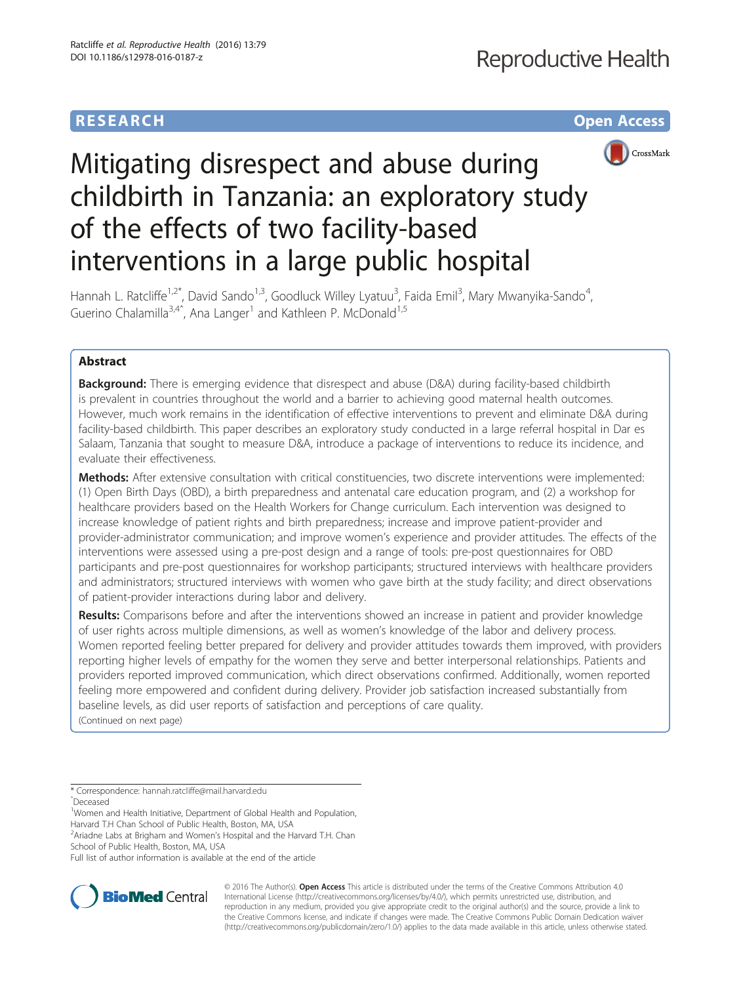## **RESEARCH CHE Open Access**



# Mitigating disrespect and abuse during childbirth in Tanzania: an exploratory study of the effects of two facility-based interventions in a large public hospital

Hannah L. Ratcliffe<sup>1,2\*</sup>, David Sando<sup>1,3</sup>, Goodluck Willey Lyatuu<sup>3</sup>, Faida Emil<sup>3</sup>, Mary Mwanyika-Sando<sup>4</sup> , Guerino Chalamilla<sup>3,4</sup><sup>^</sup>, Ana Langer<sup>1</sup> and Kathleen P. McDonald<sup>1,5</sup>

## Abstract

**Background:** There is emerging evidence that disrespect and abuse (D&A) during facility-based childbirth is prevalent in countries throughout the world and a barrier to achieving good maternal health outcomes. However, much work remains in the identification of effective interventions to prevent and eliminate D&A during facility-based childbirth. This paper describes an exploratory study conducted in a large referral hospital in Dar es Salaam, Tanzania that sought to measure D&A, introduce a package of interventions to reduce its incidence, and evaluate their effectiveness.

Methods: After extensive consultation with critical constituencies, two discrete interventions were implemented: (1) Open Birth Days (OBD), a birth preparedness and antenatal care education program, and (2) a workshop for healthcare providers based on the Health Workers for Change curriculum. Each intervention was designed to increase knowledge of patient rights and birth preparedness; increase and improve patient-provider and provider-administrator communication; and improve women's experience and provider attitudes. The effects of the interventions were assessed using a pre-post design and a range of tools: pre-post questionnaires for OBD participants and pre-post questionnaires for workshop participants; structured interviews with healthcare providers and administrators; structured interviews with women who gave birth at the study facility; and direct observations of patient-provider interactions during labor and delivery.

Results: Comparisons before and after the interventions showed an increase in patient and provider knowledge of user rights across multiple dimensions, as well as women's knowledge of the labor and delivery process. Women reported feeling better prepared for delivery and provider attitudes towards them improved, with providers reporting higher levels of empathy for the women they serve and better interpersonal relationships. Patients and providers reported improved communication, which direct observations confirmed. Additionally, women reported feeling more empowered and confident during delivery. Provider job satisfaction increased substantially from baseline levels, as did user reports of satisfaction and perceptions of care quality. (Continued on next page)

\* Correspondence: [hannah.ratcliffe@mail.harvard.edu](mailto:hannah.ratcliffe@mail.harvard.edu) <sup>ˆ</sup>Deceased

<sup>1</sup>Women and Health Initiative, Department of Global Health and Population,

Harvard T.H Chan School of Public Health, Boston, MA, USA

<sup>2</sup> Ariadne Labs at Brigham and Women's Hospital and the Harvard T.H. Chan School of Public Health, Boston, MA, USA

Full list of author information is available at the end of the article



© 2016 The Author(s). Open Access This article is distributed under the terms of the Creative Commons Attribution 4.0 International License [\(http://creativecommons.org/licenses/by/4.0/](http://creativecommons.org/licenses/by/4.0/)), which permits unrestricted use, distribution, and reproduction in any medium, provided you give appropriate credit to the original author(s) and the source, provide a link to the Creative Commons license, and indicate if changes were made. The Creative Commons Public Domain Dedication waiver [\(http://creativecommons.org/publicdomain/zero/1.0/](http://creativecommons.org/publicdomain/zero/1.0/)) applies to the data made available in this article, unless otherwise stated.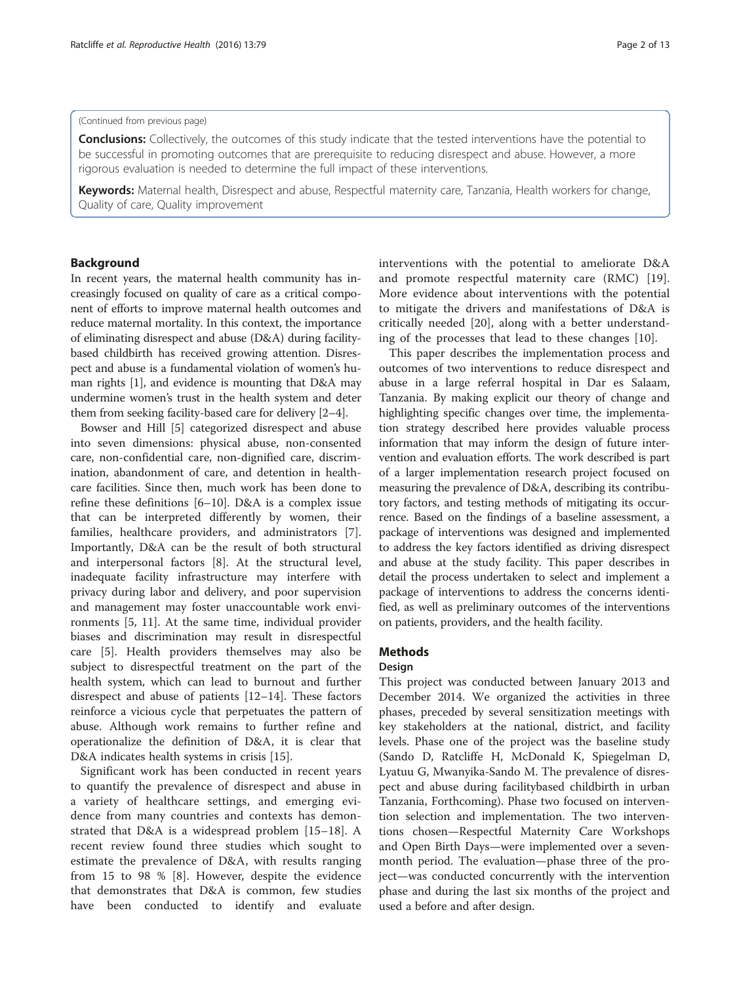#### (Continued from previous page)

**Conclusions:** Collectively, the outcomes of this study indicate that the tested interventions have the potential to be successful in promoting outcomes that are prerequisite to reducing disrespect and abuse. However, a more rigorous evaluation is needed to determine the full impact of these interventions.

Keywords: Maternal health, Disrespect and abuse, Respectful maternity care, Tanzania, Health workers for change, Quality of care, Quality improvement

## Background

In recent years, the maternal health community has increasingly focused on quality of care as a critical component of efforts to improve maternal health outcomes and reduce maternal mortality. In this context, the importance of eliminating disrespect and abuse (D&A) during facilitybased childbirth has received growing attention. Disrespect and abuse is a fundamental violation of women's human rights [\[1](#page-11-0)], and evidence is mounting that D&A may undermine women's trust in the health system and deter them from seeking facility-based care for delivery [\[2](#page-11-0)–[4\]](#page-11-0).

Bowser and Hill [\[5](#page-11-0)] categorized disrespect and abuse into seven dimensions: physical abuse, non-consented care, non-confidential care, non-dignified care, discrimination, abandonment of care, and detention in healthcare facilities. Since then, much work has been done to refine these definitions [[6](#page-12-0)–[10](#page-12-0)]. D&A is a complex issue that can be interpreted differently by women, their families, healthcare providers, and administrators [\[7](#page-12-0)]. Importantly, D&A can be the result of both structural and interpersonal factors [[8\]](#page-12-0). At the structural level, inadequate facility infrastructure may interfere with privacy during labor and delivery, and poor supervision and management may foster unaccountable work environments [[5,](#page-11-0) [11\]](#page-12-0). At the same time, individual provider biases and discrimination may result in disrespectful care [\[5\]](#page-11-0). Health providers themselves may also be subject to disrespectful treatment on the part of the health system, which can lead to burnout and further disrespect and abuse of patients [[12](#page-12-0)–[14](#page-12-0)]. These factors reinforce a vicious cycle that perpetuates the pattern of abuse. Although work remains to further refine and operationalize the definition of D&A, it is clear that D&A indicates health systems in crisis [\[15\]](#page-12-0).

Significant work has been conducted in recent years to quantify the prevalence of disrespect and abuse in a variety of healthcare settings, and emerging evidence from many countries and contexts has demonstrated that D&A is a widespread problem [[15](#page-12-0)–[18\]](#page-12-0). A recent review found three studies which sought to estimate the prevalence of D&A, with results ranging from 15 to 98 % [[8\]](#page-12-0). However, despite the evidence that demonstrates that D&A is common, few studies have been conducted to identify and evaluate interventions with the potential to ameliorate D&A and promote respectful maternity care (RMC) [\[19](#page-12-0)]. More evidence about interventions with the potential to mitigate the drivers and manifestations of D&A is critically needed [[20\]](#page-12-0), along with a better understanding of the processes that lead to these changes [\[10](#page-12-0)].

This paper describes the implementation process and outcomes of two interventions to reduce disrespect and abuse in a large referral hospital in Dar es Salaam, Tanzania. By making explicit our theory of change and highlighting specific changes over time, the implementation strategy described here provides valuable process information that may inform the design of future intervention and evaluation efforts. The work described is part of a larger implementation research project focused on measuring the prevalence of D&A, describing its contributory factors, and testing methods of mitigating its occurrence. Based on the findings of a baseline assessment, a package of interventions was designed and implemented to address the key factors identified as driving disrespect and abuse at the study facility. This paper describes in detail the process undertaken to select and implement a package of interventions to address the concerns identified, as well as preliminary outcomes of the interventions on patients, providers, and the health facility.

## Methods

#### Design

This project was conducted between January 2013 and December 2014. We organized the activities in three phases, preceded by several sensitization meetings with key stakeholders at the national, district, and facility levels. Phase one of the project was the baseline study (Sando D, Ratcliffe H, McDonald K, Spiegelman D, Lyatuu G, Mwanyika-Sando M. The prevalence of disrespect and abuse during facilitybased childbirth in urban Tanzania, Forthcoming). Phase two focused on intervention selection and implementation. The two interventions chosen—Respectful Maternity Care Workshops and Open Birth Days—were implemented over a sevenmonth period. The evaluation—phase three of the project—was conducted concurrently with the intervention phase and during the last six months of the project and used a before and after design.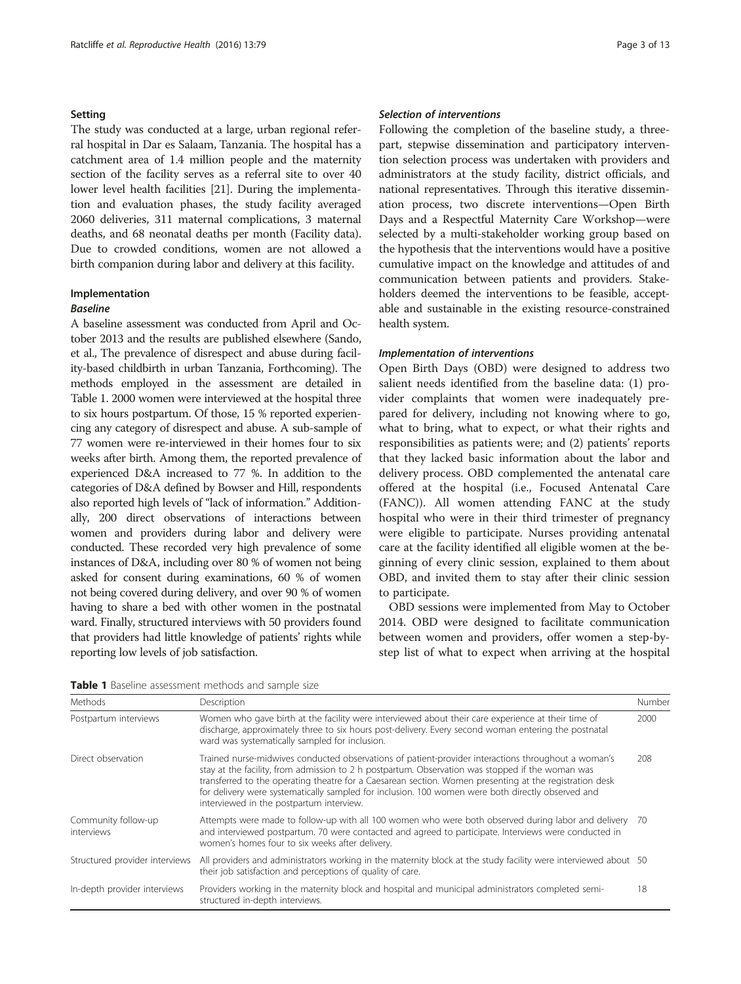## Setting

The study was conducted at a large, urban regional referral hospital in Dar es Salaam, Tanzania. The hospital has a catchment area of 1.4 million people and the maternity section of the facility serves as a referral site to over 40 lower level health facilities [\[21\]](#page-12-0). During the implementation and evaluation phases, the study facility averaged 2060 deliveries, 311 maternal complications, 3 maternal deaths, and 68 neonatal deaths per month (Facility data). Due to crowded conditions, women are not allowed a birth companion during labor and delivery at this facility.

#### Implementation

#### Baseline

A baseline assessment was conducted from April and October 2013 and the results are published elsewhere (Sando, et al., The prevalence of disrespect and abuse during facility-based childbirth in urban Tanzania, Forthcoming). The methods employed in the assessment are detailed in Table 1. 2000 women were interviewed at the hospital three to six hours postpartum. Of those, 15 % reported experiencing any category of disrespect and abuse. A sub-sample of 77 women were re-interviewed in their homes four to six weeks after birth. Among them, the reported prevalence of experienced D&A increased to 77 %. In addition to the categories of D&A defined by Bowser and Hill, respondents also reported high levels of "lack of information." Additionally, 200 direct observations of interactions between women and providers during labor and delivery were conducted. These recorded very high prevalence of some instances of D&A, including over 80 % of women not being asked for consent during examinations, 60 % of women not being covered during delivery, and over 90 % of women having to share a bed with other women in the postnatal ward. Finally, structured interviews with 50 providers found that providers had little knowledge of patients' rights while reporting low levels of job satisfaction.

#### Selection of interventions

Following the completion of the baseline study, a threepart, stepwise dissemination and participatory intervention selection process was undertaken with providers and administrators at the study facility, district officials, and national representatives. Through this iterative dissemination process, two discrete interventions—Open Birth Days and a Respectful Maternity Care Workshop—were selected by a multi-stakeholder working group based on the hypothesis that the interventions would have a positive cumulative impact on the knowledge and attitudes of and communication between patients and providers. Stakeholders deemed the interventions to be feasible, acceptable and sustainable in the existing resource-constrained health system.

#### Implementation of interventions

Open Birth Days (OBD) were designed to address two salient needs identified from the baseline data: (1) provider complaints that women were inadequately prepared for delivery, including not knowing where to go, what to bring, what to expect, or what their rights and responsibilities as patients were; and (2) patients' reports that they lacked basic information about the labor and delivery process. OBD complemented the antenatal care offered at the hospital (i.e., Focused Antenatal Care (FANC)). All women attending FANC at the study hospital who were in their third trimester of pregnancy were eligible to participate. Nurses providing antenatal care at the facility identified all eligible women at the beginning of every clinic session, explained to them about OBD, and invited them to stay after their clinic session to participate.

OBD sessions were implemented from May to October 2014. OBD were designed to facilitate communication between women and providers, offer women a step-bystep list of what to expect when arriving at the hospital

Table 1 Baseline assessment methods and sample size

| Methods                           | Description                                                                                                                                                                                                                                                                                                                                                                                                                                                         | Number |
|-----------------------------------|---------------------------------------------------------------------------------------------------------------------------------------------------------------------------------------------------------------------------------------------------------------------------------------------------------------------------------------------------------------------------------------------------------------------------------------------------------------------|--------|
| Postpartum interviews             | Women who gave birth at the facility were interviewed about their care experience at their time of<br>discharge, approximately three to six hours post-delivery. Every second woman entering the postnatal<br>ward was systematically sampled for inclusion.                                                                                                                                                                                                        | 2000   |
| Direct observation                | Trained nurse-midwives conducted observations of patient-provider interactions throughout a woman's<br>stay at the facility, from admission to 2 h postpartum. Observation was stopped if the woman was<br>transferred to the operating theatre for a Caesarean section. Women presenting at the registration desk<br>for delivery were systematically sampled for inclusion. 100 women were both directly observed and<br>interviewed in the postpartum interview. | 208    |
| Community follow-up<br>interviews | Attempts were made to follow-up with all 100 women who were both observed during labor and delivery 70<br>and interviewed postpartum. 70 were contacted and agreed to participate. Interviews were conducted in<br>women's homes four to six weeks after delivery.                                                                                                                                                                                                  |        |
| Structured provider interviews    | All providers and administrators working in the maternity block at the study facility were interviewed about 50<br>their job satisfaction and perceptions of quality of care.                                                                                                                                                                                                                                                                                       |        |
| In-depth provider interviews      | Providers working in the maternity block and hospital and municipal administrators completed semi-<br>structured in-depth interviews.                                                                                                                                                                                                                                                                                                                               | 18     |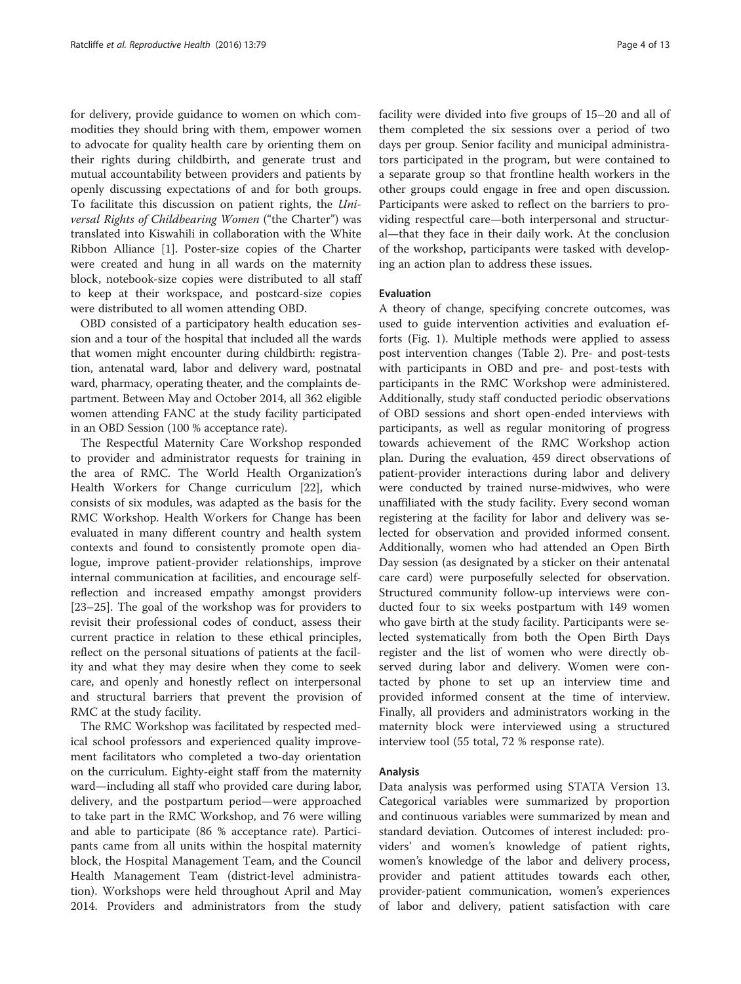for delivery, provide guidance to women on which commodities they should bring with them, empower women to advocate for quality health care by orienting them on their rights during childbirth, and generate trust and mutual accountability between providers and patients by openly discussing expectations of and for both groups. To facilitate this discussion on patient rights, the Universal Rights of Childbearing Women ("the Charter") was translated into Kiswahili in collaboration with the White Ribbon Alliance [[1\]](#page-11-0). Poster-size copies of the Charter were created and hung in all wards on the maternity block, notebook-size copies were distributed to all staff to keep at their workspace, and postcard-size copies were distributed to all women attending OBD.

OBD consisted of a participatory health education session and a tour of the hospital that included all the wards that women might encounter during childbirth: registration, antenatal ward, labor and delivery ward, postnatal ward, pharmacy, operating theater, and the complaints department. Between May and October 2014, all 362 eligible women attending FANC at the study facility participated in an OBD Session (100 % acceptance rate).

The Respectful Maternity Care Workshop responded to provider and administrator requests for training in the area of RMC. The World Health Organization's Health Workers for Change curriculum [\[22](#page-12-0)], which consists of six modules, was adapted as the basis for the RMC Workshop. Health Workers for Change has been evaluated in many different country and health system contexts and found to consistently promote open dialogue, improve patient-provider relationships, improve internal communication at facilities, and encourage selfreflection and increased empathy amongst providers [[23](#page-12-0)–[25](#page-12-0)]. The goal of the workshop was for providers to revisit their professional codes of conduct, assess their current practice in relation to these ethical principles, reflect on the personal situations of patients at the facility and what they may desire when they come to seek care, and openly and honestly reflect on interpersonal and structural barriers that prevent the provision of RMC at the study facility.

The RMC Workshop was facilitated by respected medical school professors and experienced quality improvement facilitators who completed a two-day orientation on the curriculum. Eighty-eight staff from the maternity ward—including all staff who provided care during labor, delivery, and the postpartum period—were approached to take part in the RMC Workshop, and 76 were willing and able to participate (86 % acceptance rate). Participants came from all units within the hospital maternity block, the Hospital Management Team, and the Council Health Management Team (district-level administration). Workshops were held throughout April and May 2014. Providers and administrators from the study facility were divided into five groups of 15–20 and all of them completed the six sessions over a period of two days per group. Senior facility and municipal administrators participated in the program, but were contained to a separate group so that frontline health workers in the other groups could engage in free and open discussion. Participants were asked to reflect on the barriers to providing respectful care—both interpersonal and structural—that they face in their daily work. At the conclusion of the workshop, participants were tasked with developing an action plan to address these issues.

#### Evaluation

A theory of change, specifying concrete outcomes, was used to guide intervention activities and evaluation efforts (Fig. [1](#page-4-0)). Multiple methods were applied to assess post intervention changes (Table [2](#page-4-0)). Pre- and post-tests with participants in OBD and pre- and post-tests with participants in the RMC Workshop were administered. Additionally, study staff conducted periodic observations of OBD sessions and short open-ended interviews with participants, as well as regular monitoring of progress towards achievement of the RMC Workshop action plan. During the evaluation, 459 direct observations of patient-provider interactions during labor and delivery were conducted by trained nurse-midwives, who were unaffiliated with the study facility. Every second woman registering at the facility for labor and delivery was selected for observation and provided informed consent. Additionally, women who had attended an Open Birth Day session (as designated by a sticker on their antenatal care card) were purposefully selected for observation. Structured community follow-up interviews were conducted four to six weeks postpartum with 149 women who gave birth at the study facility. Participants were selected systematically from both the Open Birth Days register and the list of women who were directly observed during labor and delivery. Women were contacted by phone to set up an interview time and provided informed consent at the time of interview. Finally, all providers and administrators working in the maternity block were interviewed using a structured interview tool (55 total, 72 % response rate).

#### Analysis

Data analysis was performed using STATA Version 13. Categorical variables were summarized by proportion and continuous variables were summarized by mean and standard deviation. Outcomes of interest included: providers' and women's knowledge of patient rights, women's knowledge of the labor and delivery process, provider and patient attitudes towards each other, provider-patient communication, women's experiences of labor and delivery, patient satisfaction with care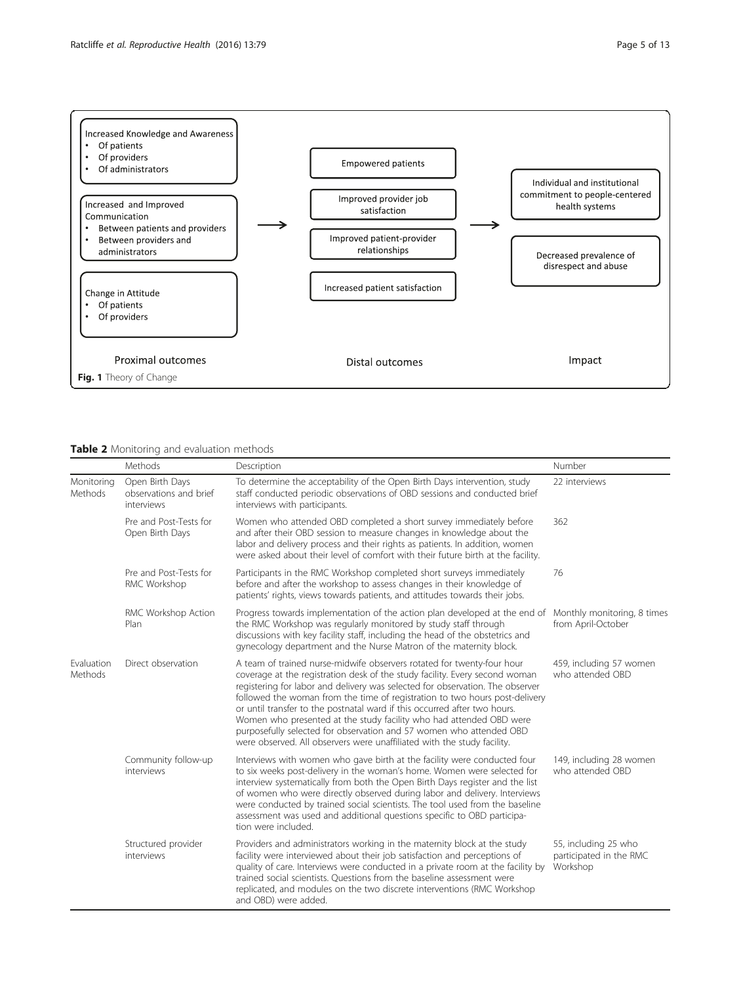<span id="page-4-0"></span>

## Table 2 Monitoring and evaluation methods

|                       | Methods                                                 | Description                                                                                                                                                                                                                                                                                                                                                                                                                                                                                                                                                                                                                 | Number                                                      |
|-----------------------|---------------------------------------------------------|-----------------------------------------------------------------------------------------------------------------------------------------------------------------------------------------------------------------------------------------------------------------------------------------------------------------------------------------------------------------------------------------------------------------------------------------------------------------------------------------------------------------------------------------------------------------------------------------------------------------------------|-------------------------------------------------------------|
| Monitoring<br>Methods | Open Birth Days<br>observations and brief<br>interviews | To determine the acceptability of the Open Birth Days intervention, study<br>staff conducted periodic observations of OBD sessions and conducted brief<br>interviews with participants.                                                                                                                                                                                                                                                                                                                                                                                                                                     | 22 interviews                                               |
|                       | Pre and Post-Tests for<br>Open Birth Days               | Women who attended OBD completed a short survey immediately before<br>and after their OBD session to measure changes in knowledge about the<br>labor and delivery process and their rights as patients. In addition, women<br>were asked about their level of comfort with their future birth at the facility.                                                                                                                                                                                                                                                                                                              | 362                                                         |
|                       | Pre and Post-Tests for<br>RMC Workshop                  | Participants in the RMC Workshop completed short surveys immediately<br>before and after the workshop to assess changes in their knowledge of<br>patients' rights, views towards patients, and attitudes towards their jobs.                                                                                                                                                                                                                                                                                                                                                                                                | 76                                                          |
|                       | RMC Workshop Action<br>Plan                             | Progress towards implementation of the action plan developed at the end of<br>the RMC Workshop was regularly monitored by study staff through<br>discussions with key facility staff, including the head of the obstetrics and<br>gynecology department and the Nurse Matron of the maternity block.                                                                                                                                                                                                                                                                                                                        | Monthly monitoring, 8 times<br>from April-October           |
| Evaluation<br>Methods | Direct observation                                      | A team of trained nurse-midwife observers rotated for twenty-four hour<br>coverage at the registration desk of the study facility. Every second woman<br>registering for labor and delivery was selected for observation. The observer<br>followed the woman from the time of registration to two hours post-delivery<br>or until transfer to the postnatal ward if this occurred after two hours.<br>Women who presented at the study facility who had attended OBD were<br>purposefully selected for observation and 57 women who attended OBD<br>were observed. All observers were unaffiliated with the study facility. | 459, including 57 women<br>who attended OBD                 |
|                       | Community follow-up<br>interviews                       | Interviews with women who gave birth at the facility were conducted four<br>to six weeks post-delivery in the woman's home. Women were selected for<br>interview systematically from both the Open Birth Days register and the list<br>of women who were directly observed during labor and delivery. Interviews<br>were conducted by trained social scientists. The tool used from the baseline<br>assessment was used and additional questions specific to OBD participa-<br>tion were included.                                                                                                                          | 149, including 28 women<br>who attended OBD                 |
|                       | Structured provider<br>interviews                       | Providers and administrators working in the maternity block at the study<br>facility were interviewed about their job satisfaction and perceptions of<br>quality of care. Interviews were conducted in a private room at the facility by<br>trained social scientists. Questions from the baseline assessment were<br>replicated, and modules on the two discrete interventions (RMC Workshop<br>and OBD) were added.                                                                                                                                                                                                       | 55, including 25 who<br>participated in the RMC<br>Workshop |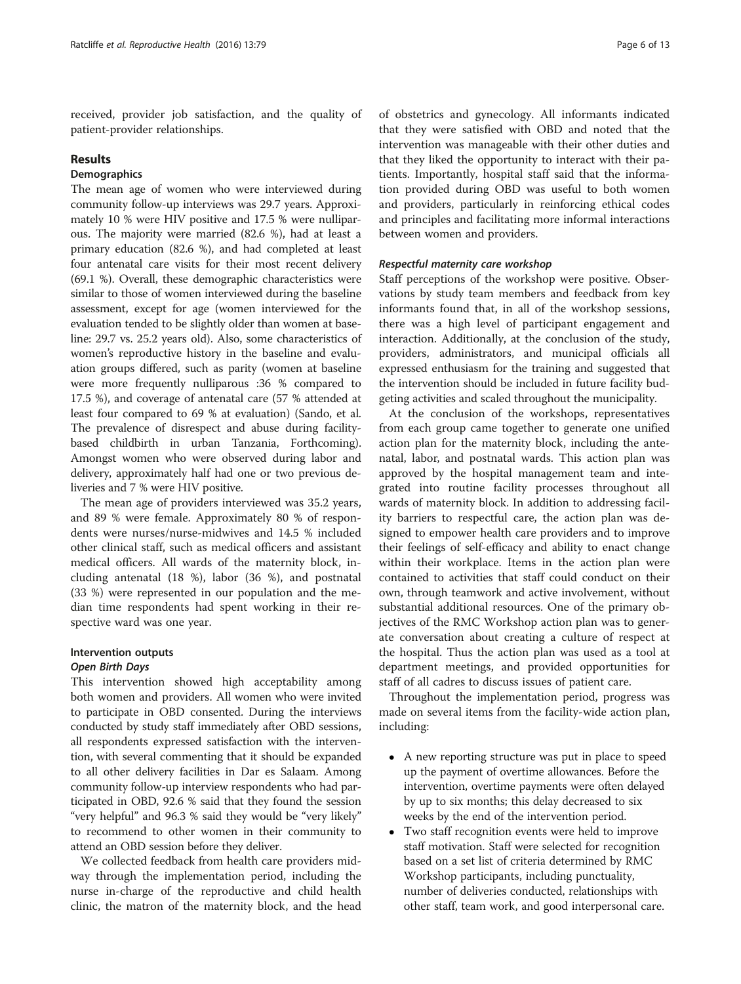received, provider job satisfaction, and the quality of patient-provider relationships.

#### Results

## **Demographics**

The mean age of women who were interviewed during community follow-up interviews was 29.7 years. Approximately 10 % were HIV positive and 17.5 % were nulliparous. The majority were married (82.6 %), had at least a primary education (82.6 %), and had completed at least four antenatal care visits for their most recent delivery (69.1 %). Overall, these demographic characteristics were similar to those of women interviewed during the baseline assessment, except for age (women interviewed for the evaluation tended to be slightly older than women at baseline: 29.7 vs. 25.2 years old). Also, some characteristics of women's reproductive history in the baseline and evaluation groups differed, such as parity (women at baseline were more frequently nulliparous :36 % compared to 17.5 %), and coverage of antenatal care (57 % attended at least four compared to 69 % at evaluation) (Sando, et al. The prevalence of disrespect and abuse during facilitybased childbirth in urban Tanzania, Forthcoming). Amongst women who were observed during labor and delivery, approximately half had one or two previous deliveries and 7 % were HIV positive.

The mean age of providers interviewed was 35.2 years, and 89 % were female. Approximately 80 % of respondents were nurses/nurse-midwives and 14.5 % included other clinical staff, such as medical officers and assistant medical officers. All wards of the maternity block, including antenatal (18 %), labor (36 %), and postnatal (33 %) were represented in our population and the median time respondents had spent working in their respective ward was one year.

## Intervention outputs Open Birth Days

This intervention showed high acceptability among both women and providers. All women who were invited to participate in OBD consented. During the interviews conducted by study staff immediately after OBD sessions, all respondents expressed satisfaction with the intervention, with several commenting that it should be expanded to all other delivery facilities in Dar es Salaam. Among community follow-up interview respondents who had participated in OBD, 92.6 % said that they found the session "very helpful" and 96.3 % said they would be "very likely" to recommend to other women in their community to attend an OBD session before they deliver.

We collected feedback from health care providers midway through the implementation period, including the nurse in-charge of the reproductive and child health clinic, the matron of the maternity block, and the head

of obstetrics and gynecology. All informants indicated that they were satisfied with OBD and noted that the intervention was manageable with their other duties and that they liked the opportunity to interact with their patients. Importantly, hospital staff said that the information provided during OBD was useful to both women and providers, particularly in reinforcing ethical codes and principles and facilitating more informal interactions between women and providers.

#### Respectful maternity care workshop

Staff perceptions of the workshop were positive. Observations by study team members and feedback from key informants found that, in all of the workshop sessions, there was a high level of participant engagement and interaction. Additionally, at the conclusion of the study, providers, administrators, and municipal officials all expressed enthusiasm for the training and suggested that the intervention should be included in future facility budgeting activities and scaled throughout the municipality.

At the conclusion of the workshops, representatives from each group came together to generate one unified action plan for the maternity block, including the antenatal, labor, and postnatal wards. This action plan was approved by the hospital management team and integrated into routine facility processes throughout all wards of maternity block. In addition to addressing facility barriers to respectful care, the action plan was designed to empower health care providers and to improve their feelings of self-efficacy and ability to enact change within their workplace. Items in the action plan were contained to activities that staff could conduct on their own, through teamwork and active involvement, without substantial additional resources. One of the primary objectives of the RMC Workshop action plan was to generate conversation about creating a culture of respect at the hospital. Thus the action plan was used as a tool at department meetings, and provided opportunities for staff of all cadres to discuss issues of patient care.

Throughout the implementation period, progress was made on several items from the facility-wide action plan, including:

- A new reporting structure was put in place to speed up the payment of overtime allowances. Before the intervention, overtime payments were often delayed by up to six months; this delay decreased to six weeks by the end of the intervention period.
- Two staff recognition events were held to improve staff motivation. Staff were selected for recognition based on a set list of criteria determined by RMC Workshop participants, including punctuality, number of deliveries conducted, relationships with other staff, team work, and good interpersonal care.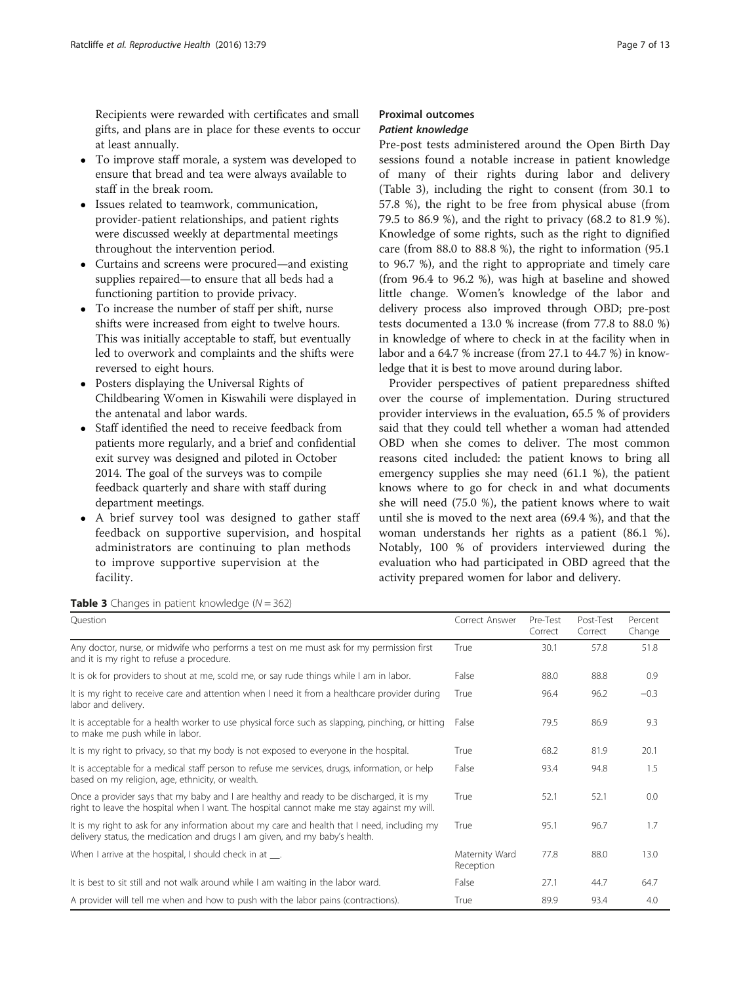Recipients were rewarded with certificates and small gifts, and plans are in place for these events to occur at least annually.

- To improve staff morale, a system was developed to ensure that bread and tea were always available to staff in the break room.
- Issues related to teamwork, communication, provider-patient relationships, and patient rights were discussed weekly at departmental meetings throughout the intervention period.
- Curtains and screens were procured—and existing supplies repaired—to ensure that all beds had a functioning partition to provide privacy.
- To increase the number of staff per shift, nurse shifts were increased from eight to twelve hours. This was initially acceptable to staff, but eventually led to overwork and complaints and the shifts were reversed to eight hours.
- Posters displaying the Universal Rights of Childbearing Women in Kiswahili were displayed in the antenatal and labor wards.
- Staff identified the need to receive feedback from patients more regularly, and a brief and confidential exit survey was designed and piloted in October 2014. The goal of the surveys was to compile feedback quarterly and share with staff during department meetings.
- A brief survey tool was designed to gather staff feedback on supportive supervision, and hospital administrators are continuing to plan methods to improve supportive supervision at the facility.

## Proximal outcomes Patient knowledge

Pre-post tests administered around the Open Birth Day sessions found a notable increase in patient knowledge of many of their rights during labor and delivery (Table 3), including the right to consent (from 30.1 to 57.8 %), the right to be free from physical abuse (from 79.5 to 86.9 %), and the right to privacy (68.2 to 81.9 %). Knowledge of some rights, such as the right to dignified care (from 88.0 to 88.8 %), the right to information (95.1 to 96.7 %), and the right to appropriate and timely care (from 96.4 to 96.2 %), was high at baseline and showed little change. Women's knowledge of the labor and delivery process also improved through OBD; pre-post tests documented a 13.0 % increase (from 77.8 to 88.0 %) in knowledge of where to check in at the facility when in labor and a 64.7 % increase (from 27.1 to 44.7 %) in knowledge that it is best to move around during labor.

Provider perspectives of patient preparedness shifted over the course of implementation. During structured provider interviews in the evaluation, 65.5 % of providers said that they could tell whether a woman had attended OBD when she comes to deliver. The most common reasons cited included: the patient knows to bring all emergency supplies she may need (61.1 %), the patient knows where to go for check in and what documents she will need (75.0 %), the patient knows where to wait until she is moved to the next area (69.4 %), and that the woman understands her rights as a patient (86.1 %). Notably, 100 % of providers interviewed during the evaluation who had participated in OBD agreed that the activity prepared women for labor and delivery.

#### Question Correct Answer Pre-Test Correct Post-Test Correct Percent Change Any doctor, nurse, or midwife who performs a test on me must ask for my permission first and it is my right to refuse a procedure. True 30.1 57.8 51.8 It is ok for providers to shout at me, scold me, or say rude things while I am in labor. False 88.0 88.8 0.9 It is my right to receive care and attention when I need it from a healthcare provider during labor and delivery. True 96.4 96.2 − 0.3 It is acceptable for a health worker to use physical force such as slapping, pinching, or hitting to make me push while in labor. False 79.5 86.9 9.3 It is my right to privacy, so that my body is not exposed to everyone in the hospital. True 68.2 81.9 20.1 It is acceptable for a medical staff person to refuse me services, drugs, information, or help based on my religion, age, ethnicity, or wealth. False 93.4 94.8 1.5 Once a provider says that my baby and I are healthy and ready to be discharged, it is my right to leave the hospital when I want. The hospital cannot make me stay against my will. True 52.1 52.1 0.0 It is my right to ask for any information about my care and health that I need, including my delivery status, the medication and drugs I am given, and my baby's health. True 95.1 96.7 1.7 When I arrive at the hospital, I should check in at \_\_. Maternity Ward Maternity Ward Reception 77.8 88.0 13.0 It is best to sit still and not walk around while I am waiting in the labor ward. The Sale and Palse 27.1 44.7 64.7 A provider will tell me when and how to push with the labor pains (contractions). True 89.9 93.4 4.0

#### **Table 3** Changes in patient knowledge ( $N = 362$ )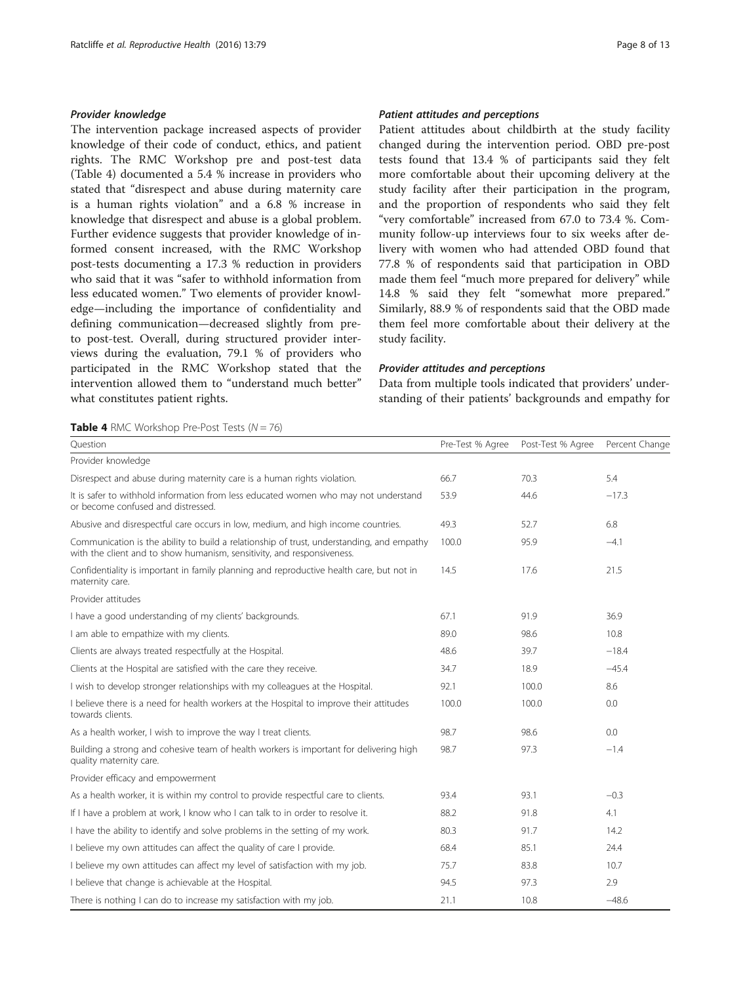## <span id="page-7-0"></span>Provider knowledge

The intervention package increased aspects of provider knowledge of their code of conduct, ethics, and patient rights. The RMC Workshop pre and post-test data (Table 4) documented a 5.4 % increase in providers who stated that "disrespect and abuse during maternity care is a human rights violation" and a 6.8 % increase in knowledge that disrespect and abuse is a global problem. Further evidence suggests that provider knowledge of informed consent increased, with the RMC Workshop post-tests documenting a 17.3 % reduction in providers who said that it was "safer to withhold information from less educated women." Two elements of provider knowledge—including the importance of confidentiality and defining communication—decreased slightly from preto post-test. Overall, during structured provider interviews during the evaluation, 79.1 % of providers who participated in the RMC Workshop stated that the intervention allowed them to "understand much better" what constitutes patient rights.

#### Patient attitudes and perceptions

Patient attitudes about childbirth at the study facility changed during the intervention period. OBD pre-post tests found that 13.4 % of participants said they felt more comfortable about their upcoming delivery at the study facility after their participation in the program, and the proportion of respondents who said they felt "very comfortable" increased from 67.0 to 73.4 %. Community follow-up interviews four to six weeks after delivery with women who had attended OBD found that 77.8 % of respondents said that participation in OBD made them feel "much more prepared for delivery" while 14.8 % said they felt "somewhat more prepared." Similarly, 88.9 % of respondents said that the OBD made them feel more comfortable about their delivery at the study facility.

#### Provider attitudes and perceptions

Data from multiple tools indicated that providers' understanding of their patients' backgrounds and empathy for

**Table 4** RMC Workshop Pre-Post Tests ( $N = 76$ )

| Question                                                                                                                                                            | Pre-Test % Agree | Post-Test % Agree | Percent Change |
|---------------------------------------------------------------------------------------------------------------------------------------------------------------------|------------------|-------------------|----------------|
| Provider knowledge                                                                                                                                                  |                  |                   |                |
| Disrespect and abuse during maternity care is a human rights violation.                                                                                             | 66.7             | 70.3              | 5.4            |
| It is safer to withhold information from less educated women who may not understand<br>or become confused and distressed.                                           | 53.9             | 44.6              | $-17.3$        |
| Abusive and disrespectful care occurs in low, medium, and high income countries.                                                                                    | 49.3             | 52.7              | 6.8            |
| Communication is the ability to build a relationship of trust, understanding, and empathy<br>with the client and to show humanism, sensitivity, and responsiveness. | 100.0            | 95.9              | $-4.1$         |
| Confidentiality is important in family planning and reproductive health care, but not in<br>maternity care.                                                         | 14.5             | 17.6              | 21.5           |
| Provider attitudes                                                                                                                                                  |                  |                   |                |
| I have a good understanding of my clients' backgrounds.                                                                                                             | 67.1             | 91.9              | 36.9           |
| I am able to empathize with my clients.                                                                                                                             | 89.0             | 98.6              | 10.8           |
| Clients are always treated respectfully at the Hospital.                                                                                                            | 48.6             | 39.7              | $-18.4$        |
| Clients at the Hospital are satisfied with the care they receive.                                                                                                   | 34.7             | 18.9              | $-45.4$        |
| I wish to develop stronger relationships with my colleagues at the Hospital.                                                                                        | 92.1             | 100.0             | 8.6            |
| I believe there is a need for health workers at the Hospital to improve their attitudes<br>towards clients.                                                         | 100.0            | 100.0             | 0.0            |
| As a health worker, I wish to improve the way I treat clients.                                                                                                      | 98.7             | 98.6              | 0.0            |
| Building a strong and cohesive team of health workers is important for delivering high<br>quality maternity care.                                                   | 98.7             | 97.3              | $-1.4$         |
| Provider efficacy and empowerment                                                                                                                                   |                  |                   |                |
| As a health worker, it is within my control to provide respectful care to clients.                                                                                  | 93.4             | 93.1              | $-0.3$         |
| If I have a problem at work, I know who I can talk to in order to resolve it.                                                                                       | 88.2             | 91.8              | 4.1            |
| I have the ability to identify and solve problems in the setting of my work.                                                                                        | 80.3             | 91.7              | 14.2           |
| I believe my own attitudes can affect the quality of care I provide.                                                                                                | 68.4             | 85.1              | 24.4           |
| I believe my own attitudes can affect my level of satisfaction with my job.                                                                                         | 75.7             | 83.8              | 10.7           |
| I believe that change is achievable at the Hospital.                                                                                                                | 94.5             | 97.3              | 2.9            |
| There is nothing I can do to increase my satisfaction with my job.                                                                                                  | 21.1             | 10.8              | $-48.6$        |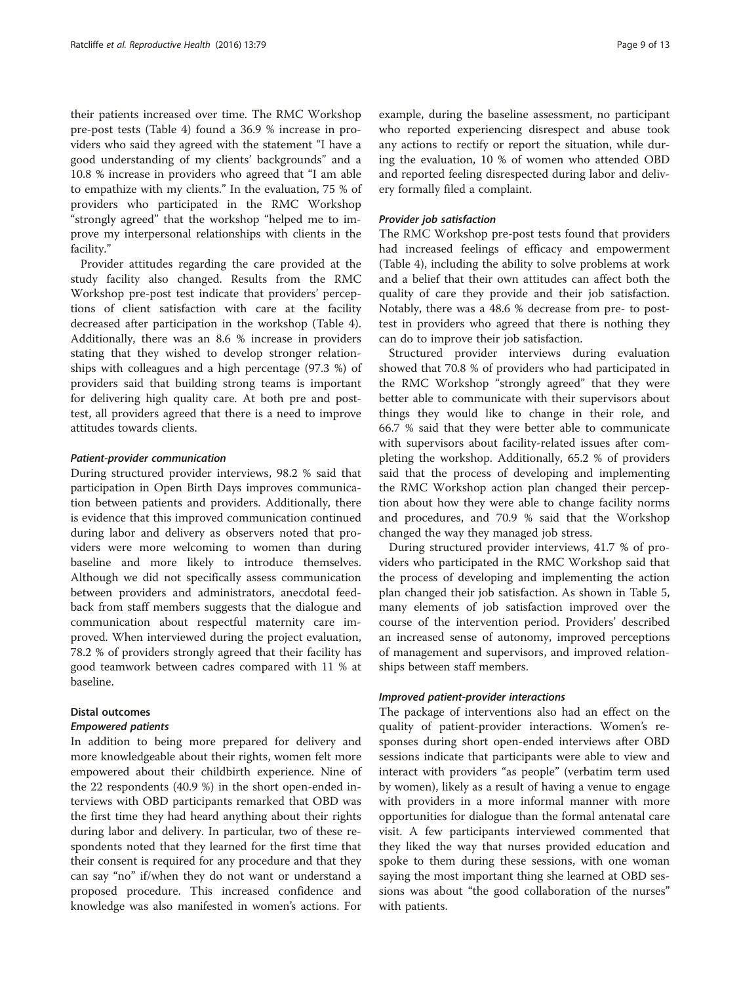their patients increased over time. The RMC Workshop pre-post tests (Table [4\)](#page-7-0) found a 36.9 % increase in providers who said they agreed with the statement "I have a good understanding of my clients' backgrounds" and a 10.8 % increase in providers who agreed that "I am able to empathize with my clients." In the evaluation, 75 % of providers who participated in the RMC Workshop "strongly agreed" that the workshop "helped me to improve my interpersonal relationships with clients in the facility."

Provider attitudes regarding the care provided at the study facility also changed. Results from the RMC Workshop pre-post test indicate that providers' perceptions of client satisfaction with care at the facility decreased after participation in the workshop (Table [4](#page-7-0)). Additionally, there was an 8.6 % increase in providers stating that they wished to develop stronger relationships with colleagues and a high percentage (97.3 %) of providers said that building strong teams is important for delivering high quality care. At both pre and posttest, all providers agreed that there is a need to improve attitudes towards clients.

#### Patient-provider communication

During structured provider interviews, 98.2 % said that participation in Open Birth Days improves communication between patients and providers. Additionally, there is evidence that this improved communication continued during labor and delivery as observers noted that providers were more welcoming to women than during baseline and more likely to introduce themselves. Although we did not specifically assess communication between providers and administrators, anecdotal feedback from staff members suggests that the dialogue and communication about respectful maternity care improved. When interviewed during the project evaluation, 78.2 % of providers strongly agreed that their facility has good teamwork between cadres compared with 11 % at baseline.

## Distal outcomes

#### Empowered patients

In addition to being more prepared for delivery and more knowledgeable about their rights, women felt more empowered about their childbirth experience. Nine of the 22 respondents (40.9 %) in the short open-ended interviews with OBD participants remarked that OBD was the first time they had heard anything about their rights during labor and delivery. In particular, two of these respondents noted that they learned for the first time that their consent is required for any procedure and that they can say "no" if/when they do not want or understand a proposed procedure. This increased confidence and knowledge was also manifested in women's actions. For

example, during the baseline assessment, no participant who reported experiencing disrespect and abuse took any actions to rectify or report the situation, while during the evaluation, 10 % of women who attended OBD and reported feeling disrespected during labor and delivery formally filed a complaint.

#### Provider job satisfaction

The RMC Workshop pre-post tests found that providers had increased feelings of efficacy and empowerment (Table [4](#page-7-0)), including the ability to solve problems at work and a belief that their own attitudes can affect both the quality of care they provide and their job satisfaction. Notably, there was a 48.6 % decrease from pre- to posttest in providers who agreed that there is nothing they can do to improve their job satisfaction.

Structured provider interviews during evaluation showed that 70.8 % of providers who had participated in the RMC Workshop "strongly agreed" that they were better able to communicate with their supervisors about things they would like to change in their role, and 66.7 % said that they were better able to communicate with supervisors about facility-related issues after completing the workshop. Additionally, 65.2 % of providers said that the process of developing and implementing the RMC Workshop action plan changed their perception about how they were able to change facility norms and procedures, and 70.9 % said that the Workshop changed the way they managed job stress.

During structured provider interviews, 41.7 % of providers who participated in the RMC Workshop said that the process of developing and implementing the action plan changed their job satisfaction. As shown in Table [5](#page-9-0), many elements of job satisfaction improved over the course of the intervention period. Providers' described an increased sense of autonomy, improved perceptions of management and supervisors, and improved relationships between staff members.

#### Improved patient-provider interactions

The package of interventions also had an effect on the quality of patient-provider interactions. Women's responses during short open-ended interviews after OBD sessions indicate that participants were able to view and interact with providers "as people" (verbatim term used by women), likely as a result of having a venue to engage with providers in a more informal manner with more opportunities for dialogue than the formal antenatal care visit. A few participants interviewed commented that they liked the way that nurses provided education and spoke to them during these sessions, with one woman saying the most important thing she learned at OBD sessions was about "the good collaboration of the nurses" with patients.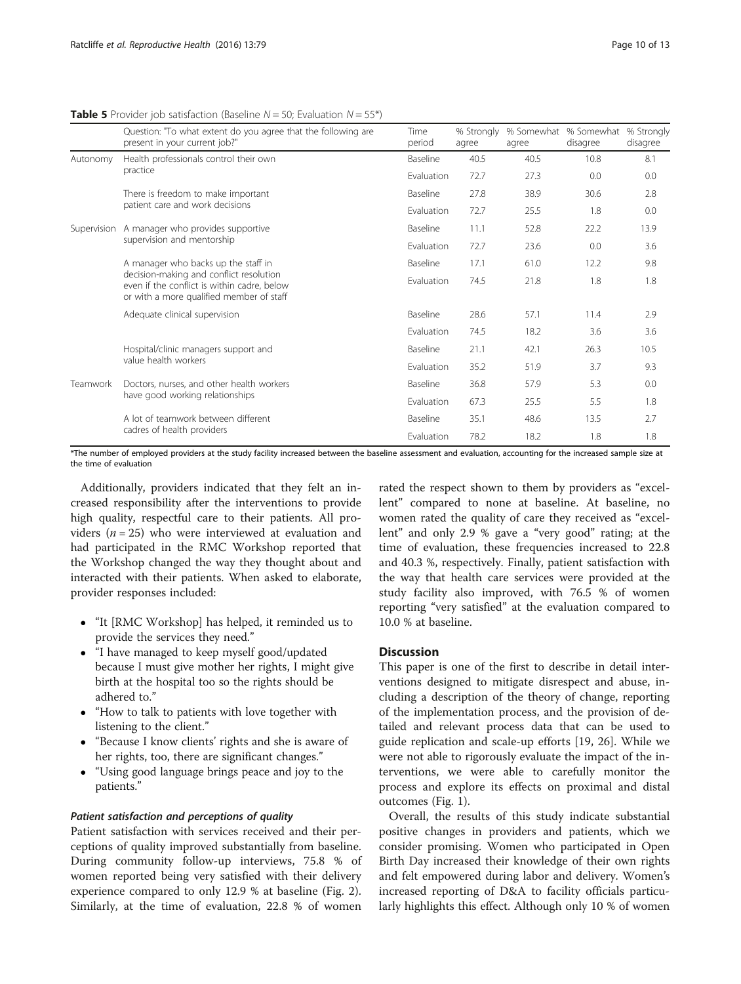<span id="page-9-0"></span>

| <b>Table 5</b> Provider job satisfaction (Baseline $N = 50$ ; Evaluation $N = 55^*$ ) |  |  |
|---------------------------------------------------------------------------------------|--|--|
|---------------------------------------------------------------------------------------|--|--|

|             | Question: "To what extent do you agree that the following are<br>present in your current job?"                                                                            | Time<br>period | % Strongly<br>agree | agree | % Somewhat % Somewhat<br>disagree | % Strongly<br>disagree |
|-------------|---------------------------------------------------------------------------------------------------------------------------------------------------------------------------|----------------|---------------------|-------|-----------------------------------|------------------------|
| Autonomy    | Health professionals control their own                                                                                                                                    | Baseline       | 40.5                | 40.5  | 10.8                              | 8.1                    |
|             | practice                                                                                                                                                                  |                | Fvaluation<br>72.7  | 27.3  | 0.0                               | 0.0                    |
|             | There is freedom to make important<br>patient care and work decisions                                                                                                     | Baseline       | 27.8                | 38.9  | 30.6                              | 2.8                    |
|             |                                                                                                                                                                           | Evaluation     | 72.7                | 25.5  | 1.8                               | 0.0                    |
| Supervision | A manager who provides supportive<br>supervision and mentorship                                                                                                           | Baseline       | 11.1                | 52.8  | 22.2                              | 13.9                   |
|             |                                                                                                                                                                           | Evaluation     | 72.7                | 23.6  | 0.0                               | 3.6                    |
|             | A manager who backs up the staff in<br>decision-making and conflict resolution<br>even if the conflict is within cadre, below<br>or with a more qualified member of staff | Baseline       | 17.1                | 61.0  | 12.2                              | 9.8                    |
|             |                                                                                                                                                                           | Evaluation     | 74.5                | 21.8  | 1.8                               | 1.8                    |
|             | Adequate clinical supervision                                                                                                                                             | Baseline       | 28.6                | 57.1  | 11.4                              | 2.9                    |
|             |                                                                                                                                                                           | Evaluation     | 74.5                | 18.2  | 3.6                               | 3.6                    |
|             | Hospital/clinic managers support and<br>value health workers                                                                                                              | Baseline       | 21.1                | 42.1  | 26.3                              | 10.5                   |
|             |                                                                                                                                                                           | Evaluation     | 35.2                | 51.9  | 3.7                               | 9.3                    |
| Teamwork    | Doctors, nurses, and other health workers<br>have good working relationships                                                                                              | Baseline       | 36.8                | 57.9  | 5.3                               | 0.0                    |
|             |                                                                                                                                                                           | Evaluation     | 67.3                | 25.5  | 5.5                               | 1.8                    |
|             | A lot of teamwork between different<br>cadres of health providers                                                                                                         | Baseline       | 35.1                | 48.6  | 13.5                              | 2.7                    |
|             |                                                                                                                                                                           | Evaluation     | 78.2                | 18.2  | 1.8                               | 1.8                    |

\*The number of employed providers at the study facility increased between the baseline assessment and evaluation, accounting for the increased sample size at the time of evaluation

Additionally, providers indicated that they felt an increased responsibility after the interventions to provide high quality, respectful care to their patients. All providers ( $n = 25$ ) who were interviewed at evaluation and had participated in the RMC Workshop reported that the Workshop changed the way they thought about and interacted with their patients. When asked to elaborate, provider responses included:

- "It [RMC Workshop] has helped, it reminded us to provide the services they need."
- "I have managed to keep myself good/updated because I must give mother her rights, I might give birth at the hospital too so the rights should be adhered to."
- "How to talk to patients with love together with listening to the client."
- "Because I know clients' rights and she is aware of her rights, too, there are significant changes."
- "Using good language brings peace and joy to the patients."

#### Patient satisfaction and perceptions of quality

Patient satisfaction with services received and their perceptions of quality improved substantially from baseline. During community follow-up interviews, 75.8 % of women reported being very satisfied with their delivery experience compared to only 12.9 % at baseline (Fig. [2](#page-10-0)). Similarly, at the time of evaluation, 22.8 % of women

rated the respect shown to them by providers as "excellent" compared to none at baseline. At baseline, no women rated the quality of care they received as "excellent" and only 2.9 % gave a "very good" rating; at the time of evaluation, these frequencies increased to 22.8 and 40.3 %, respectively. Finally, patient satisfaction with the way that health care services were provided at the study facility also improved, with 76.5 % of women reporting "very satisfied" at the evaluation compared to 10.0 % at baseline.

## **Discussion**

This paper is one of the first to describe in detail interventions designed to mitigate disrespect and abuse, including a description of the theory of change, reporting of the implementation process, and the provision of detailed and relevant process data that can be used to guide replication and scale-up efforts [\[19](#page-12-0), [26](#page-12-0)]. While we were not able to rigorously evaluate the impact of the interventions, we were able to carefully monitor the process and explore its effects on proximal and distal outcomes (Fig. [1\)](#page-4-0).

Overall, the results of this study indicate substantial positive changes in providers and patients, which we consider promising. Women who participated in Open Birth Day increased their knowledge of their own rights and felt empowered during labor and delivery. Women's increased reporting of D&A to facility officials particularly highlights this effect. Although only 10 % of women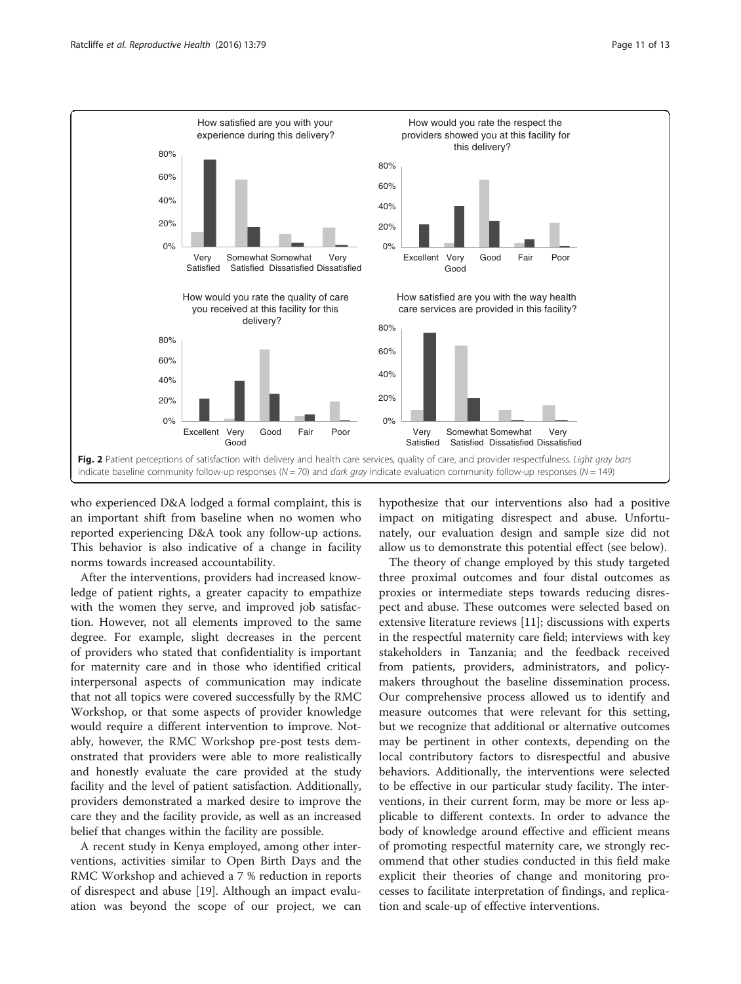<span id="page-10-0"></span>

who experienced D&A lodged a formal complaint, this is an important shift from baseline when no women who reported experiencing D&A took any follow-up actions. This behavior is also indicative of a change in facility norms towards increased accountability.

After the interventions, providers had increased knowledge of patient rights, a greater capacity to empathize with the women they serve, and improved job satisfaction. However, not all elements improved to the same degree. For example, slight decreases in the percent of providers who stated that confidentiality is important for maternity care and in those who identified critical interpersonal aspects of communication may indicate that not all topics were covered successfully by the RMC Workshop, or that some aspects of provider knowledge would require a different intervention to improve. Notably, however, the RMC Workshop pre-post tests demonstrated that providers were able to more realistically and honestly evaluate the care provided at the study facility and the level of patient satisfaction. Additionally, providers demonstrated a marked desire to improve the care they and the facility provide, as well as an increased belief that changes within the facility are possible.

A recent study in Kenya employed, among other interventions, activities similar to Open Birth Days and the RMC Workshop and achieved a 7 % reduction in reports of disrespect and abuse [\[19](#page-12-0)]. Although an impact evaluation was beyond the scope of our project, we can hypothesize that our interventions also had a positive impact on mitigating disrespect and abuse. Unfortunately, our evaluation design and sample size did not allow us to demonstrate this potential effect (see below).

The theory of change employed by this study targeted three proximal outcomes and four distal outcomes as proxies or intermediate steps towards reducing disrespect and abuse. These outcomes were selected based on extensive literature reviews [[11](#page-12-0)]; discussions with experts in the respectful maternity care field; interviews with key stakeholders in Tanzania; and the feedback received from patients, providers, administrators, and policymakers throughout the baseline dissemination process. Our comprehensive process allowed us to identify and measure outcomes that were relevant for this setting, but we recognize that additional or alternative outcomes may be pertinent in other contexts, depending on the local contributory factors to disrespectful and abusive behaviors. Additionally, the interventions were selected to be effective in our particular study facility. The interventions, in their current form, may be more or less applicable to different contexts. In order to advance the body of knowledge around effective and efficient means of promoting respectful maternity care, we strongly recommend that other studies conducted in this field make explicit their theories of change and monitoring processes to facilitate interpretation of findings, and replication and scale-up of effective interventions.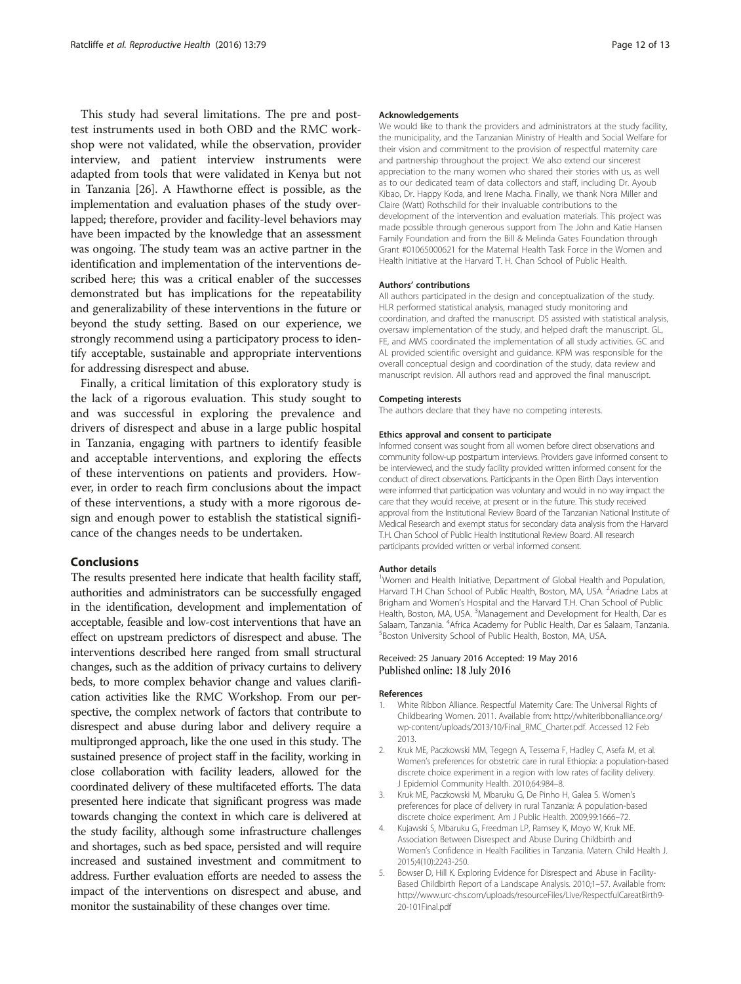<span id="page-11-0"></span>This study had several limitations. The pre and posttest instruments used in both OBD and the RMC workshop were not validated, while the observation, provider interview, and patient interview instruments were adapted from tools that were validated in Kenya but not in Tanzania [[26](#page-12-0)]. A Hawthorne effect is possible, as the implementation and evaluation phases of the study overlapped; therefore, provider and facility-level behaviors may have been impacted by the knowledge that an assessment was ongoing. The study team was an active partner in the identification and implementation of the interventions described here; this was a critical enabler of the successes demonstrated but has implications for the repeatability and generalizability of these interventions in the future or beyond the study setting. Based on our experience, we strongly recommend using a participatory process to identify acceptable, sustainable and appropriate interventions for addressing disrespect and abuse.

Finally, a critical limitation of this exploratory study is the lack of a rigorous evaluation. This study sought to and was successful in exploring the prevalence and drivers of disrespect and abuse in a large public hospital in Tanzania, engaging with partners to identify feasible and acceptable interventions, and exploring the effects of these interventions on patients and providers. However, in order to reach firm conclusions about the impact of these interventions, a study with a more rigorous design and enough power to establish the statistical significance of the changes needs to be undertaken.

## Conclusions

The results presented here indicate that health facility staff, authorities and administrators can be successfully engaged in the identification, development and implementation of acceptable, feasible and low-cost interventions that have an effect on upstream predictors of disrespect and abuse. The interventions described here ranged from small structural changes, such as the addition of privacy curtains to delivery beds, to more complex behavior change and values clarification activities like the RMC Workshop. From our perspective, the complex network of factors that contribute to disrespect and abuse during labor and delivery require a multipronged approach, like the one used in this study. The sustained presence of project staff in the facility, working in close collaboration with facility leaders, allowed for the coordinated delivery of these multifaceted efforts. The data presented here indicate that significant progress was made towards changing the context in which care is delivered at the study facility, although some infrastructure challenges and shortages, such as bed space, persisted and will require increased and sustained investment and commitment to address. Further evaluation efforts are needed to assess the impact of the interventions on disrespect and abuse, and monitor the sustainability of these changes over time.

#### Acknowledgements

We would like to thank the providers and administrators at the study facility, the municipality, and the Tanzanian Ministry of Health and Social Welfare for their vision and commitment to the provision of respectful maternity care and partnership throughout the project. We also extend our sincerest appreciation to the many women who shared their stories with us, as well as to our dedicated team of data collectors and staff, including Dr. Ayoub Kibao, Dr. Happy Koda, and Irene Macha. Finally, we thank Nora Miller and Claire (Watt) Rothschild for their invaluable contributions to the development of the intervention and evaluation materials. This project was made possible through generous support from The John and Katie Hansen Family Foundation and from the Bill & Melinda Gates Foundation through Grant #01065000621 for the Maternal Health Task Force in the Women and Health Initiative at the Harvard T. H. Chan School of Public Health.

#### Authors' contributions

All authors participated in the design and conceptualization of the study. HLR performed statistical analysis, managed study monitoring and coordination, and drafted the manuscript. DS assisted with statistical analysis, oversaw implementation of the study, and helped draft the manuscript. GL, FE, and MMS coordinated the implementation of all study activities. GC and AL provided scientific oversight and guidance. KPM was responsible for the overall conceptual design and coordination of the study, data review and manuscript revision. All authors read and approved the final manuscript.

#### Competing interests

The authors declare that they have no competing interests.

#### Ethics approval and consent to participate

Informed consent was sought from all women before direct observations and community follow-up postpartum interviews. Providers gave informed consent to be interviewed, and the study facility provided written informed consent for the conduct of direct observations. Participants in the Open Birth Days intervention were informed that participation was voluntary and would in no way impact the care that they would receive, at present or in the future. This study received approval from the Institutional Review Board of the Tanzanian National Institute of Medical Research and exempt status for secondary data analysis from the Harvard T.H. Chan School of Public Health Institutional Review Board. All research participants provided written or verbal informed consent.

#### Author details

<sup>1</sup>Women and Health Initiative, Department of Global Health and Population, Harvard T.H Chan School of Public Health, Boston, MA, USA. <sup>2</sup>Ariadne Labs at Brigham and Women's Hospital and the Harvard T.H. Chan School of Public Health, Boston, MA, USA. <sup>3</sup>Management and Development for Health, Dar es Salaam, Tanzania. <sup>4</sup> Africa Academy for Public Health, Dar es Salaam, Tanzania.<br><sup>5</sup> Boston University School of Public Health, Boston, MA, USA. <sup>5</sup>Boston University School of Public Health, Boston, MA, USA.

#### Received: 25 January 2016 Accepted: 19 May 2016 Published online: 18 July 2016

#### References

- 1. White Ribbon Alliance. Respectful Maternity Care: The Universal Rights of Childbearing Women. 2011. Available from: [http://whiteribbonalliance.org/](http://whiteribbonalliance.org/wp-content/uploads/2013/10/Final_RMC_Charter.pdf) [wp-content/uploads/2013/10/Final\\_RMC\\_Charter.pdf.](http://whiteribbonalliance.org/wp-content/uploads/2013/10/Final_RMC_Charter.pdf) Accessed 12 Feb 2013.
- 2. Kruk ME, Paczkowski MM, Tegegn A, Tessema F, Hadley C, Asefa M, et al. Women's preferences for obstetric care in rural Ethiopia: a population-based discrete choice experiment in a region with low rates of facility delivery. J Epidemiol Community Health. 2010;64:984–8.
- 3. Kruk ME, Paczkowski M, Mbaruku G, De Pinho H, Galea S. Women's preferences for place of delivery in rural Tanzania: A population-based discrete choice experiment. Am J Public Health. 2009;99:1666–72.
- 4. Kujawski S, Mbaruku G, Freedman LP, Ramsey K, Moyo W, Kruk ME. Association Between Disrespect and Abuse During Childbirth and Women's Confidence in Health Facilities in Tanzania. Matern. Child Health J. 2015;4(10):2243-250.
- 5. Bowser D, Hill K. Exploring Evidence for Disrespect and Abuse in Facility-Based Childbirth Report of a Landscape Analysis. 2010;1–57. Available from: http://www.urc-chs.com/uploads/resourceFiles/Live/RespectfulCareatBirth9- 20-101Final.pdf